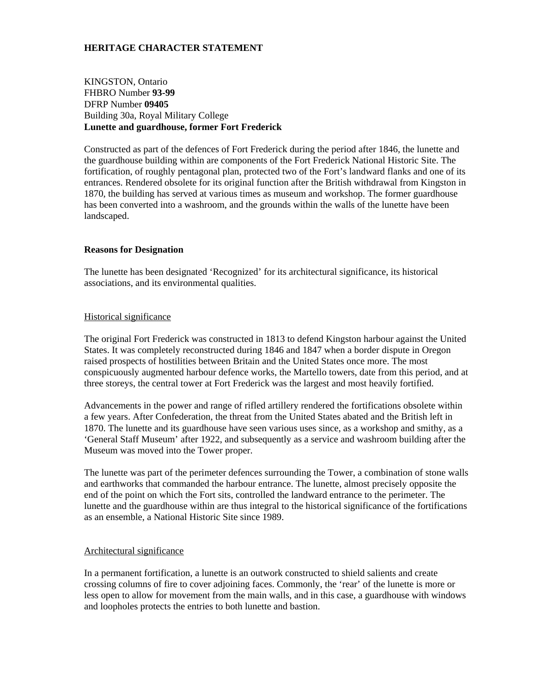# **HERITAGE CHARACTER STATEMENT**

KINGSTON, Ontario FHBRO Number **93-99**  DFRP Number **09405** Building 30a, Royal Military College **Lunette and guardhouse, former Fort Frederick** 

Constructed as part of the defences of Fort Frederick during the period after 1846, the lunette and the guardhouse building within are components of the Fort Frederick National Historic Site. The fortification, of roughly pentagonal plan, protected two of the Fort's landward flanks and one of its entrances. Rendered obsolete for its original function after the British withdrawal from Kingston in 1870, the building has served at various times as museum and workshop. The former guardhouse has been converted into a washroom, and the grounds within the walls of the lunette have been landscaped.

## **Reasons for Designation**

The lunette has been designated 'Recognized' for its architectural significance, its historical associations, and its environmental qualities.

#### Historical significance

The original Fort Frederick was constructed in 1813 to defend Kingston harbour against the United States. It was completely reconstructed during 1846 and 1847 when a border dispute in Oregon raised prospects of hostilities between Britain and the United States once more. The most conspicuously augmented harbour defence works, the Martello towers, date from this period, and at three storeys, the central tower at Fort Frederick was the largest and most heavily fortified.

Advancements in the power and range of rifled artillery rendered the fortifications obsolete within a few years. After Confederation, the threat from the United States abated and the British left in 1870. The lunette and its guardhouse have seen various uses since, as a workshop and smithy, as a 'General Staff Museum' after 1922, and subsequently as a service and washroom building after the Museum was moved into the Tower proper.

The lunette was part of the perimeter defences surrounding the Tower, a combination of stone walls and earthworks that commanded the harbour entrance. The lunette, almost precisely opposite the end of the point on which the Fort sits, controlled the landward entrance to the perimeter. The lunette and the guardhouse within are thus integral to the historical significance of the fortifications as an ensemble, a National Historic Site since 1989.

#### Architectural significance

In a permanent fortification, a lunette is an outwork constructed to shield salients and create crossing columns of fire to cover adjoining faces. Commonly, the 'rear' of the lunette is more or less open to allow for movement from the main walls, and in this case, a guardhouse with windows and loopholes protects the entries to both lunette and bastion.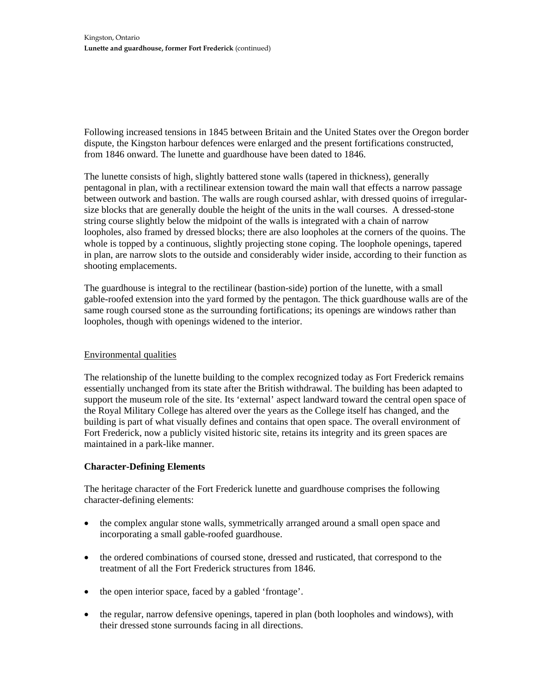Following increased tensions in 1845 between Britain and the United States over the Oregon border dispute, the Kingston harbour defences were enlarged and the present fortifications constructed, from 1846 onward. The lunette and guardhouse have been dated to 1846.

The lunette consists of high, slightly battered stone walls (tapered in thickness), generally pentagonal in plan, with a rectilinear extension toward the main wall that effects a narrow passage between outwork and bastion. The walls are rough coursed ashlar, with dressed quoins of irregularsize blocks that are generally double the height of the units in the wall courses. A dressed-stone string course slightly below the midpoint of the walls is integrated with a chain of narrow loopholes, also framed by dressed blocks; there are also loopholes at the corners of the quoins. The whole is topped by a continuous, slightly projecting stone coping. The loophole openings, tapered in plan, are narrow slots to the outside and considerably wider inside, according to their function as shooting emplacements.

The guardhouse is integral to the rectilinear (bastion-side) portion of the lunette, with a small gable-roofed extension into the yard formed by the pentagon. The thick guardhouse walls are of the same rough coursed stone as the surrounding fortifications; its openings are windows rather than loopholes, though with openings widened to the interior.

## Environmental qualities

The relationship of the lunette building to the complex recognized today as Fort Frederick remains essentially unchanged from its state after the British withdrawal. The building has been adapted to support the museum role of the site. Its 'external' aspect landward toward the central open space of the Royal Military College has altered over the years as the College itself has changed, and the building is part of what visually defines and contains that open space. The overall environment of Fort Frederick, now a publicly visited historic site, retains its integrity and its green spaces are maintained in a park-like manner.

## **Character-Defining Elements**

The heritage character of the Fort Frederick lunette and guardhouse comprises the following character-defining elements:

- the complex angular stone walls, symmetrically arranged around a small open space and incorporating a small gable-roofed guardhouse.
- the ordered combinations of coursed stone, dressed and rusticated, that correspond to the treatment of all the Fort Frederick structures from 1846.
- the open interior space, faced by a gabled 'frontage'.
- the regular, narrow defensive openings, tapered in plan (both loopholes and windows), with their dressed stone surrounds facing in all directions.